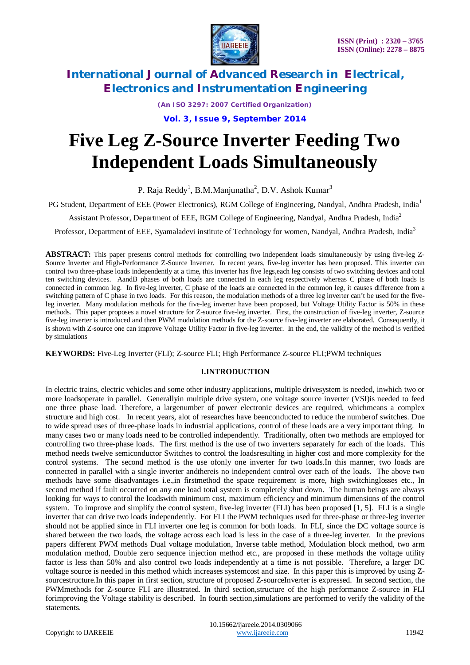

*(An ISO 3297: 2007 Certified Organization)*

**Vol. 3, Issue 9, September 2014**

# **Five Leg Z-Source Inverter Feeding Two Independent Loads Simultaneously**

P. Raja Reddy<sup>1</sup>, B.M.Manjunatha<sup>2</sup>, D.V. Ashok Kumar<sup>3</sup>

PG Student, Department of EEE (Power Electronics), RGM College of Engineering, Nandyal, Andhra Pradesh, India<sup>1</sup>

Assistant Professor, Department of EEE, RGM College of Engineering, Nandyal, Andhra Pradesh, India<sup>2</sup>

Professor, Department of EEE, Syamaladevi institute of Technology for women, Nandyal, Andhra Pradesh, India<sup>3</sup>

**ABSTRACT:** This paper presents control methods for controlling two independent loads simultaneously by using five-leg Z-Source Inverter and High-Performance Z-Source Inverter. In recent years, five-leg inverter has been proposed. This inverter can control two three-phase loads independently at a time, this inverter has five legs,each leg consists of two switching devices and total ten switching devices. AandB phases of both loads are connected in each leg respectively whereas C phase of both loads is connected in common leg. In five-leg inverter, C phase of the loads are connected in the common leg, it causes difference from a switching pattern of C phase in two loads. For this reason, the modulation methods of a three leg inverter can't be used for the fiveleg inverter. Many modulation methods for the five-leg inverter have been proposed, but Voltage Utility Factor is 50% in these methods. This paper proposes a novel structure for Z-source five-leg inverter. First, the construction of five-leg inverter, Z-source five-leg inverter is introduced and then PWM modulation methods for the Z-source five-leg inverter are elaborated. Consequently, it is shown with Z-source one can improve Voltage Utility Factor in five-leg inverter. In the end, the validity of the method is verified by simulations

**KEYWORDS:** Five-Leg Inverter (FLI); Z-source FLI; High Performance Z-source FLI;PWM techniques

### **I.INTRODUCTION**

In electric trains, electric vehicles and some other industry applications, multiple drivesystem is needed, inwhich two or more loadsoperate in parallel. Generallyin multiple drive system, one voltage source inverter (VSI)is needed to feed one three phase load. Therefore, a largenumber of power electronic devices are required, whichmeans a complex structure and high cost. In recent years, alot of researches have beenconducted to reduce the numberof switches. Due to wide spread uses of three-phase loads in industrial applications, control of these loads are a very important thing. In many cases two or many loads need to be controlled independently. Traditionally, often two methods are employed for controlling two three-phase loads. The first method is the use of two inverters separately for each of the loads. This method needs twelve semiconductor Switches to control the loadsresulting in higher cost and more complexity for the control systems. The second method is the use ofonly one inverter for two loads.In this manner, two loads are connected in parallel with a single inverter andthereis no independent control over each of the loads. The above two methods have some disadvantages i.e.,in firstmethod the space requirement is more, high switchinglosses etc., In second method if fault occurred on any one load total system is completely shut down. The human beings are always looking for ways to control the loadswith minimum cost, maximum efficiency and minimum dimensions of the control system. To improve and simplify the control system, five-leg inverter (FLI) has been proposed [1, 5]. FLI is a single inverter that can drive two loads independently. For FLI the PWM techniques used for three-phase or three-leg inverter should not be applied since in FLI inverter one leg is common for both loads. In FLI, since the DC voltage source is shared between the two loads, the voltage across each load is less in the case of a three-leg inverter. In the previous papers different PWM methods Dual voltage modulation, Inverse table method, Modulation block method, two arm modulation method, Double zero sequence injection method etc., are proposed in these methods the voltage utility factor is less than 50% and also control two loads independently at a time is not possible. Therefore, a larger DC voltage source is needed in this method which increases systemcost and size. In this paper this is improved by using Zsourcestructure.In this paper in first section, structure of proposed Z-sourceInverter is expressed. In second section, the PWMmethods for Z-source FLI are illustrated. In third section,structure of the high performance Z-source in FLI forimproving the Voltage stability is described. In fourth section,simulations are performed to verify the validity of the statements.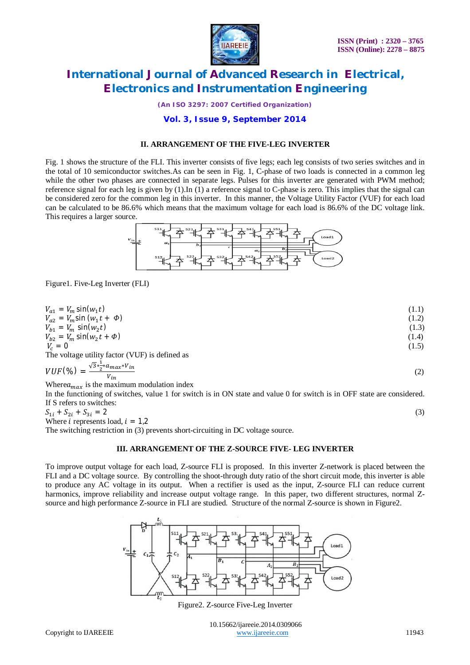

*(An ISO 3297: 2007 Certified Organization)*

### **Vol. 3, Issue 9, September 2014**

#### **II. ARRANGEMENT OF THE FIVE-LEG INVERTER**

Fig. 1 shows the structure of the FLI. This inverter consists of five legs; each leg consists of two series switches and in the total of 10 semiconductor switches.As can be seen in Fig. 1, C-phase of two loads is connected in a common leg while the other two phases are connected in separate legs. Pulses for this inverter are generated with PWM method; reference signal for each leg is given by (1).In (1) a reference signal to C-phase is zero. This implies that the signal can be considered zero for the common leg in this inverter. In this manner, the Voltage Utility Factor (VUF) for each load can be calculated to be 86.6% which means that the maximum voltage for each load is 86.6% of the DC voltage link. This requires a larger source.



Figure1. Five-Leg Inverter (FLI)

| $V_{a1} = V_m \sin(w_1 t)$                                            | (1.1) |
|-----------------------------------------------------------------------|-------|
| $V_{a2} = V_m \sin (w_1 t + \phi)$                                    | (1.2) |
| $V_{b1} = V_m \sin(w_2 t)$                                            | (1.3) |
| $V_{h2} = V_m \sin(w_2 t + \Phi)$                                     | (1.4) |
| $V_c = 0$                                                             | (1.5) |
| The voltage utility factor (VUF) is defined as                        |       |
| $VUF(\%) = \frac{\sqrt{3}*\frac{1}{2}*a_{max}*V_{in}}{2}$<br>$V_{in}$ | (2)   |
| Where $a_{max}$ is the maximum modulation index                       |       |

In the functioning of switches, value 1 for switch is in ON state and value 0 for switch is in OFF state are considered. If S refers to switches:

 $S_{1i} + S_{2i} + S_{3i} = 2$  (3) Where *i* represents load,  $i = 1,2$ The switching restriction in (3) prevents short-circuiting in DC voltage source.

#### **III. ARRANGEMENT OF THE Z-SOURCE FIVE- LEG INVERTER**

To improve output voltage for each load, Z-source FLI is proposed. In this inverter Z-network is placed between the FLI and a DC voltage source. By controlling the shoot-through duty ratio of the short circuit mode, this inverter is able to produce any AC voltage in its output. When a rectifier is used as the input, Z-source FLI can reduce current harmonics, improve reliability and increase output voltage range. In this paper, two different structures, normal Zsource and high performance Z-source in FLI are studied. Structure of the normal Z-source is shown in Figure2.

Load<sub>2</sub>

Figure2. Z-source Five-Leg Inverter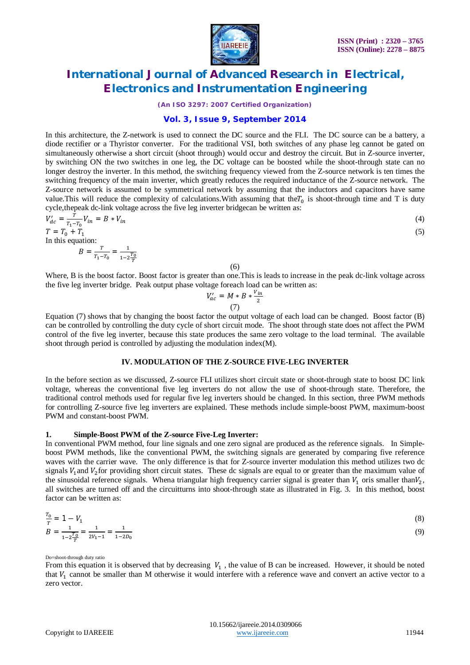

*(An ISO 3297: 2007 Certified Organization)*

### **Vol. 3, Issue 9, September 2014**

In this architecture, the Z-network is used to connect the DC source and the FLI. The DC source can be a battery, a diode rectifier or a Thyristor converter. For the traditional VSI, both switches of any phase leg cannot be gated on simultaneously otherwise a short circuit (shoot through) would occur and destroy the circuit. But in Z-source inverter, by switching ON the two switches in one leg, the DC voltage can be boosted while the shoot-through state can no longer destroy the inverter. In this method, the switching frequency viewed from the Z-source network is ten times the switching frequency of the main inverter, which greatly reduces the required inductance of the Z-source network. The Z-source network is assumed to be symmetrical network by assuming that the inductors and capacitors have same value. This will reduce the complexity of calculations. With assuming that the  $T_0$  is shoot-through time and T is duty cycle,thepeak dc-link voltage across the five leg inverter bridgecan be written as:

$$
V'_{dc} = \frac{T}{T_1 - T_0} V_{in} = B * V_{in}
$$
  
\n
$$
T = T_0 + T_1
$$
\n(4)

In this equation:

$$
B = \frac{T}{T_1 - T_0} = \frac{1}{1 - 2\frac{T_0}{T}}
$$

(6)

Where, B is the boost factor. Boost factor is greater than one.This is leads to increase in the peak dc-link voltage across the five leg inverter bridge. Peak output phase voltage foreach load can be written as:

$$
V'_{ac} = M * B * \frac{V_{in}}{2}
$$
  
(7)

Equation (7) shows that by changing the boost factor the output voltage of each load can be changed. Boost factor (B) can be controlled by controlling the duty cycle of short circuit mode. The shoot through state does not affect the PWM control of the five leg inverter, because this state produces the same zero voltage to the load terminal. The available shoot through period is controlled by adjusting the modulation index(M).

#### **IV. MODULATION OF THE Z-SOURCE FIVE-LEG INVERTER**

In the before section as we discussed, Z-source FLI utilizes short circuit state or shoot-through state to boost DC link voltage, whereas the conventional five leg inverters do not allow the use of shoot-through state. Therefore, the traditional control methods used for regular five leg inverters should be changed. In this section, three PWM methods for controlling Z-source five leg inverters are explained. These methods include simple-boost PWM, maximum-boost PWM and constant-boost PWM.

#### **1. Simple-Boost PWM of the Z-source Five-Leg Inverter:**

In conventional PWM method, four line signals and one zero signal are produced as the reference signals. In Simpleboost PWM methods, like the conventional PWM, the switching signals are generated by comparing five reference waves with the carrier wave. The only difference is that for Z-source inverter modulation this method utilizes two dc signals  $V_1$  and  $V_2$  for providing short circuit states. These dc signals are equal to or greater than the maximum value of the sinusoidal reference signals. Whena triangular high frequency carrier signal is greater than  $V_1$  oris smaller than $V_2$ , all switches are turned off and the circuitturns into shoot-through state as illustrated in Fig. 3. In this method, boost factor can be written as:

$$
\frac{T_0}{T} = 1 - V_1
$$
  
\n
$$
B = \frac{1}{1 - 2\frac{T_0}{T}} = \frac{1}{2V_1 - 1} = \frac{1}{1 - 2D_0}
$$
\n(8)

Do=shoot-through duty ratio

From this equation it is observed that by decreasing  $V_1$ , the value of B can be increased. However, it should be noted that  $V_1$  cannot be smaller than M otherwise it would interfere with a reference wave and convert an active vector to a zero vector.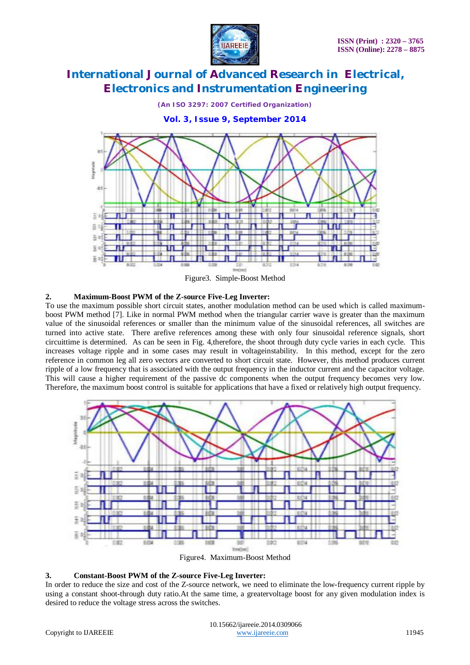

*(An ISO 3297: 2007 Certified Organization)*

**Vol. 3, Issue 9, September 2014**



Figure3. Simple-Boost Method

### **2. Maximum-Boost PWM of the Z-source Five-Leg Inverter:**

To use the maximum possible short circuit states, another modulation method can be used which is called maximumboost PWM method [7]. Like in normal PWM method when the triangular carrier wave is greater than the maximum value of the sinusoidal references or smaller than the minimum value of the sinusoidal references, all switches are turned into active state. There arefive references among these with only four sinusoidal reference signals, short circuittime is determined. As can be seen in Fig. 4,therefore, the shoot through duty cycle varies in each cycle. This increases voltage ripple and in some cases may result in voltageinstability. In this method, except for the zero reference in common leg all zero vectors are converted to short circuit state. However, this method produces current ripple of a low frequency that is associated with the output frequency in the inductor current and the capacitor voltage. This will cause a higher requirement of the passive dc components when the output frequency becomes very low. Therefore, the maximum boost control is suitable for applications that have a fixed or relatively high output frequency.



Figure4. Maximum-Boost Method

### **3. Constant-Boost PWM of the Z-source Five-Leg Inverter:**

In order to reduce the size and cost of the Z-source network, we need to eliminate the low-frequency current ripple by using a constant shoot-through duty ratio.At the same time, a greatervoltage boost for any given modulation index is desired to reduce the voltage stress across the switches.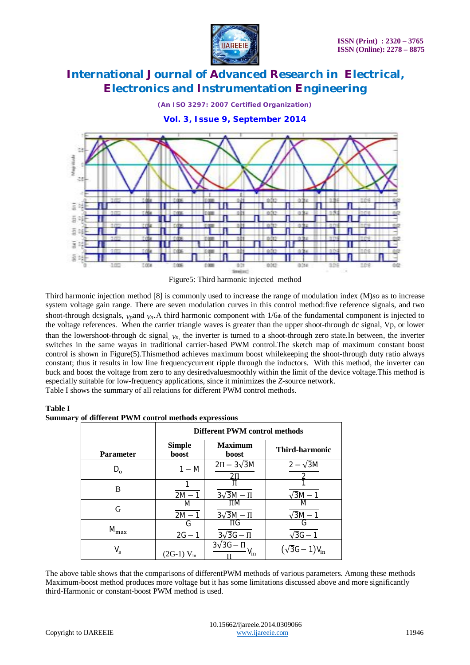

*(An ISO 3297: 2007 Certified Organization)*

**Vol. 3, Issue 9, September 2014**



Figure5: Third harmonic injected method

Third harmonic injection method [8] is commonly used to increase the range of modulation index (M)*so* as to increase system voltage gain range. There are seven modulation curves in this control method:five reference signals, and two shoot-through dcsignals,  $V_p$ and  $V_p$ . A third harmonic component with  $1/6<sub>th</sub>$  of the fundamental component is injected to the voltage references. When the carrier triangle waves is greater than the upper shoot-through dc signal, Vp, or lower than the lowershoot-through dc signal, *Vn*, the inverter is turned to a shoot-through zero state.In between, the inverter switches in the same wayas in traditional carrier-based PWM control.The sketch map of maximum constant boost control is shown in Figure(5).Thismethod achieves maximum boost whilekeeping the shoot-through duty ratio always constant; thus it results in low line frequencycurrent ripple through the inductors. With this method, the inverter can buck and boost the voltage from zero to any desiredvaluesmoothly within the limit of the device voltage.This method is especially suitable for low-frequency applications, since it minimizes the *Z*-source network.

Table I shows the summary of all relations for different PWM control methods.

#### **Table I Summary of different PWM control methods expressions**

|                  | Different PWM control methods |                                    |                         |
|------------------|-------------------------------|------------------------------------|-------------------------|
| <b>Parameter</b> | <b>Simple</b><br><b>boost</b> | <b>Maximum</b><br><b>boost</b>     | <b>Third-harmonic</b>   |
| $D_{o}$          | $1 - M$                       | $2\Pi - 3\sqrt{3}M$                | $2-\sqrt{3}M$           |
| B                | $2M -$                        | $3\sqrt{3}M - \Pi$                 | $\sqrt{3}M-1$           |
| G                | M<br>$2M - 1$                 | $\Pi M$<br>$3\sqrt{3}M - \Pi$      | $\sqrt{3}M-1$           |
| $M_{\rm max}$    | G<br>$2G - 1$                 | $\Pi$ G<br>$3\sqrt{3}G - \Pi$      | $\sqrt{3}G-1$           |
| $V_{\rm s}$      | (2G-1) $V_{in}$               | $3\sqrt{3}G - \Pi$<br>$V_{\rm in}$ | $(\sqrt{3}G - 1)V_{in}$ |

The above table shows that the comparisons of differentPWM methods of various parameters. Among these methods Maximum-boost method produces more voltage but it has some limitations discussed above and more significantly third-Harmonic or constant-boost PWM method is used.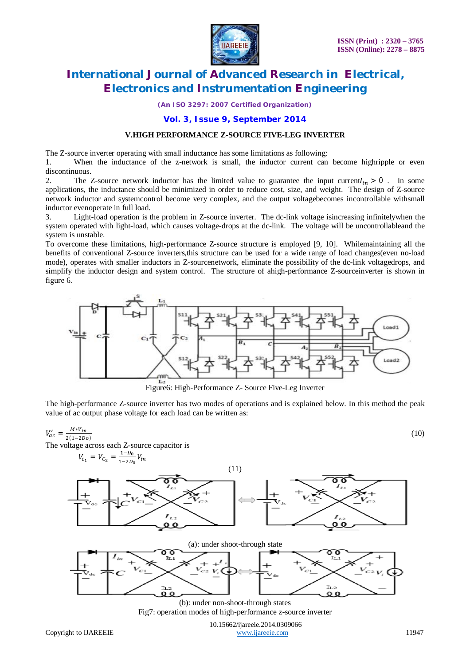

*(An ISO 3297: 2007 Certified Organization)*

### **Vol. 3, Issue 9, September 2014**

#### **V.HIGH PERFORMANCE Z-SOURCE FIVE-LEG INVERTER**

The Z-source inverter operating with small inductance has some limitations as following:

1. When the inductance of the z-network is small, the inductor current can become highripple or even discontinuous.

2. The Z-source network inductor has the limited value to guarantee the input current  $I_{in} > 0$ . In some applications, the inductance should be minimized in order to reduce cost, size, and weight. The design of Z-source network inductor and systemcontrol become very complex, and the output voltagebecomes incontrollable withsmall inductor evenoperate in full load.

3. Light-load operation is the problem in Z-source inverter. The dc-link voltage isincreasing infinitelywhen the system operated with light-load, which causes voltage-drops at the dc-link. The voltage will be uncontrollableand the system is unstable.

To overcome these limitations, high-performance Z-source structure is employed [9, 10]. Whilemaintaining all the benefits of conventional Z-source inverters,this structure can be used for a wide range of load changes(even no-load mode), operates with smaller inductors in Z-sourcenetwork, eliminate the possibility of the dc-link voltagedrops, and simplify the inductor design and system control. The structure of ahigh-performance Z-sourceinverter is shown in figure 6.



Figure6: High-Performance Z- Source Five-Leg Inverter

The high-performance Z-source inverter has two modes of operations and is explained below. In this method the peak value of ac output phase voltage for each load can be written as:



Fig7: operation modes of high-performance z-source inverter

 10.15662/ijareeie.2014.0309066 Copyright to IJAREEIE www.ijareeie.com 11947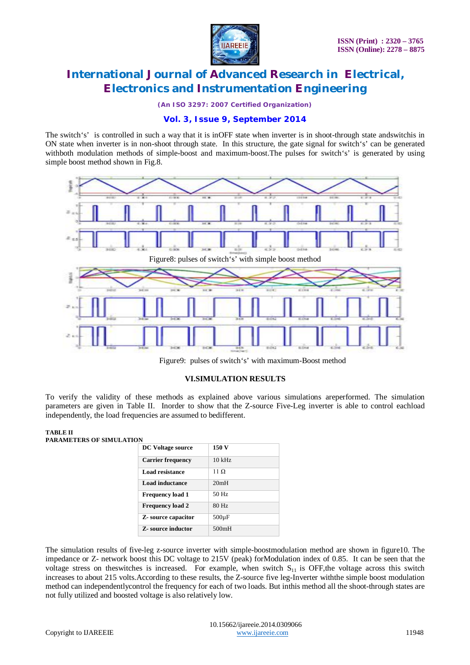

*(An ISO 3297: 2007 Certified Organization)*

### **Vol. 3, Issue 9, September 2014**

The switch's' is controlled in such a way that it is inOFF state when inverter is in shoot-through state andswitchis in ON state when inverter is in non-shoot through state. In this structure, the gate signal for switch's' can be generated withboth modulation methods of simple-boost and maximum-boost. The pulses for switch's' is generated by using simple boost method shown in Fig.8.



Figure9: pulses of switch's' with maximum-Boost method

#### **VI.SIMULATION RESULTS**

To verify the validity of these methods as explained above various simulations areperformed. The simulation parameters are given in Table II. Inorder to show that the Z-source Five-Leg inverter is able to control eachload independently, the load frequencies are assumed to bedifferent.

#### **TABLE II PARAMETERS OF SIMULATION**

| <b>DC</b> Voltage source   | 150 V      |
|----------------------------|------------|
| <b>Carrier frequency</b>   | $10$ kHz   |
| <b>Load resistance</b>     | 11 Q       |
| <b>Load inductance</b>     | 20mH       |
| <b>Frequency load 1</b>    | 50 Hz      |
| <b>Frequency load 2</b>    | 80 Hz      |
| <b>Z</b> -source capacitor | $500\mu F$ |
| <b>Z</b> -source inductor  | 500mH      |

The simulation results of five-leg z-source inverter with simple-boostmodulation method are shown in figure10. The impedance or Z- network boost this DC voltage to 215V (peak) forModulation index of 0.85. It can be seen that the voltage stress on theswitches is increased. For example, when switch  $S<sub>11</sub>$  is OFF, the voltage across this switch increases to about 215 volts.According to these results, the Z-source five leg-Inverter withthe simple boost modulation method can independentlycontrol the frequency for each of two loads. But inthis method all the shoot-through states are not fully utilized and boosted voltage is also relatively low.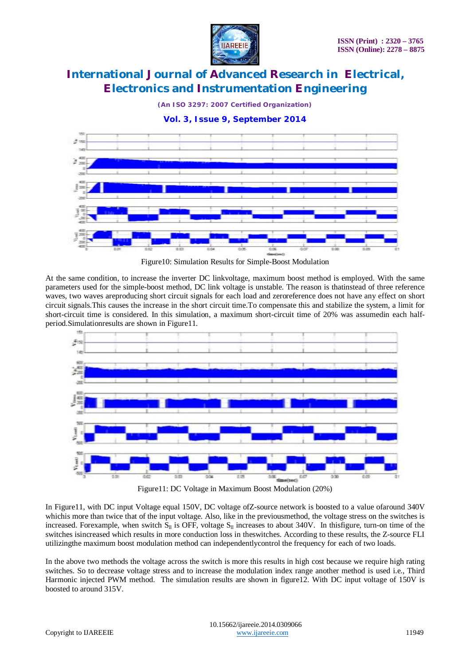

*(An ISO 3297: 2007 Certified Organization)*

**Vol. 3, Issue 9, September 2014**



Figure10: Simulation Results for Simple-Boost Modulation

At the same condition, to increase the inverter DC linkvoltage, maximum boost method is employed. With the same parameters used for the simple-boost method, DC link voltage is unstable. The reason is thatinstead of three reference waves, two waves areproducing short circuit signals for each load and zeroreference does not have any effect on short circuit signals.This causes the increase in the short circuit time.To compensate this and stabilize the system, a limit for short-circuit time is considered. In this simulation, a maximum short-circuit time of 20% was assumedin each halfperiod.Simulationresults are shown in Figure11.



Figure11: DC Voltage in Maximum Boost Modulation (20%)

In Figure11, with DC input Voltage equal 150V, DC voltage ofZ-source network is boosted to a value ofaround 340V whichis more than twice that of the input voltage. Also, like in the previousmethod, the voltage stress on the switches is increased. Forexample, when switch  $S_{\parallel}$  is OFF, voltage  $S_{\parallel}$  increases to about 340V. In thisfigure, turn-on time of the switches isincreased which results in more conduction loss in theswitches. According to these results, the Z-source FLI utilizingthe maximum boost modulation method can independentlycontrol the frequency for each of two loads.

In the above two methods the voltage across the switch is more this results in high cost because we require high rating switches. So to decrease voltage stress and to increase the modulation index range another method is used i.e., Third Harmonic injected PWM method. The simulation results are shown in figure12. With DC input voltage of 150V is boosted to around 315V.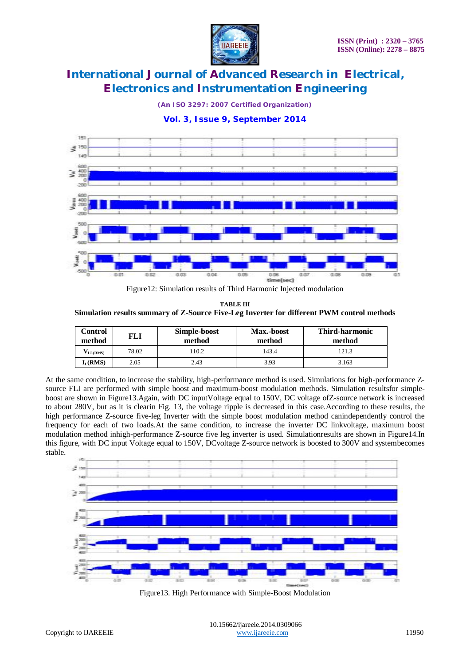

*(An ISO 3297: 2007 Certified Organization)*

**Vol. 3, Issue 9, September 2014**



Figure12: Simulation results of Third Harmonic Injected modulation

**TABLE III Simulation results summary of Z-Source Five-Leg Inverter for different PWM control methods**

| Control<br>method | FLI   | Simple-boost<br>method | Max.-boost<br>method | <b>Third-harmonic</b><br>method |
|-------------------|-------|------------------------|----------------------|---------------------------------|
| $V_{LL(RMS)}$     | 78.02 | 110.2                  | 143.4                | 121.3                           |
| $I_L(RMS)$        | 2.05  | 2.43                   | 3.93                 | 3.163                           |

At the same condition, to increase the stability, high-performance method is used. Simulations for high-performance Zsource FLI are performed with simple boost and maximum-boost modulation methods. Simulation resultsfor simpleboost are shown in Figure13.Again, with DC inputVoltage equal to 150V, DC voltage ofZ-source network is increased to about 280V, but as it is clearin Fig. 13, the voltage ripple is decreased in this case.According to these results, the high performance Z-source five-leg Inverter with the simple boost modulation method canindependently control the frequency for each of two loads.At the same condition, to increase the inverter DC linkvoltage, maximum boost modulation method inhigh-performance Z-source five leg inverter is used. Simulationresults are shown in Figure14.In this figure, with DC input Voltage equal to 150V, DCvoltage Z-source network is boosted to 300V and systembecomes stable.



Figure13. High Performance with Simple-Boost Modulation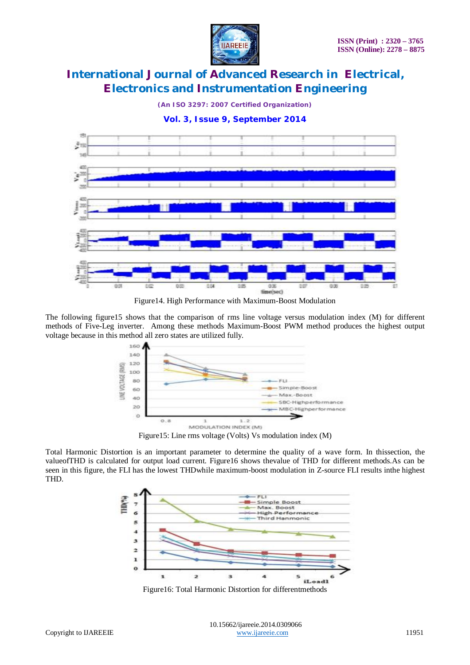

*(An ISO 3297: 2007 Certified Organization)*

**Vol. 3, Issue 9, September 2014**



Figure14. High Performance with Maximum-Boost Modulation

The following figure15 shows that the comparison of rms line voltage versus modulation index (M) for different methods of Five-Leg inverter. Among these methods Maximum-Boost PWM method produces the highest output voltage because in this method all zero states are utilized fully.



Figure15: Line rms voltage (Volts) Vs modulation index (M)

Total Harmonic Distortion is an important parameter to determine the quality of a wave form. In thissection, the valueofTHD is calculated for output load current. Figure16 shows thevalue of THD for different methods.As can be seen in this figure, the FLI has the lowest THDwhile maximum-boost modulation in Z-source FLI results inthe highest THD.



Figure16: Total Harmonic Distortion for differentmethods